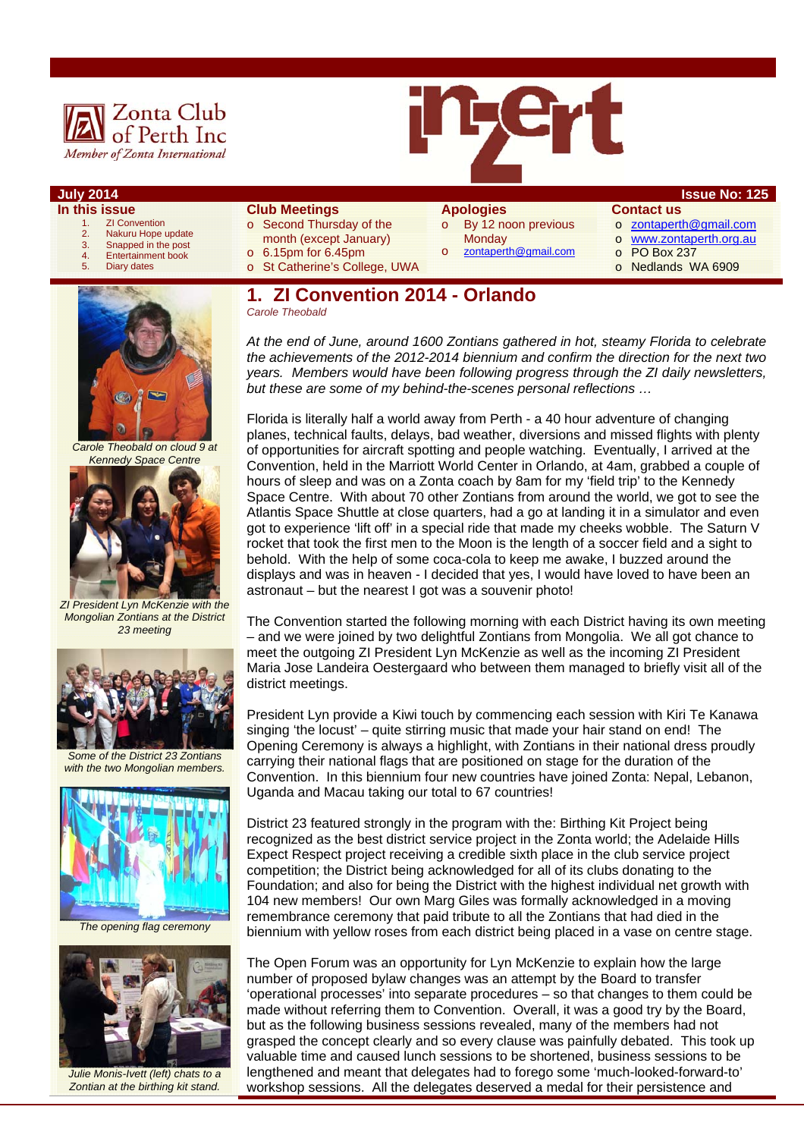



- **In this issue** 
	- 1. **ZI Convention**<br>2. **Nakuru Hope**
	- 2. Nakuru Hope update 3. Snapped in the post
	-
	- 4. Entertainment book<br>5. Diary dates Diary dates
- **Club Meetings**
- o Second Thursday of the month (except January)
- o 6.15pm for 6.45pm
- o St Catherine's College, UWA
- o By 12 noon previous **Monday**

zontaperth@gmail.com

- **Contact us**
- o zontaperth@gmail.com
- o www.zontaperth.org.au
	- o PO Box 237
	- o Nedlands WA 6909



*Carole Theobald on cloud 9 at Kennedy Space Centre* 



*ZI President Lyn McKenzie with the Mongolian Zontians at the District 23 meeting* 



*Some of the District 23 Zontians with the two Mongolian members.* 



*The opening flag ceremony* 



*Julie Monis-Ivett (left) chats to a Zontian at the birthing kit stand.* 

# **1. ZI Convention 2014 - Orlando**

*Carole Theobald* 

*At the end of June, around 1600 Zontians gathered in hot, steamy Florida to celebrate the achievements of the 2012-2014 biennium and confirm the direction for the next two years. Members would have been following progress through the ZI daily newsletters, but these are some of my behind-the-scenes personal reflections …* 

Florida is literally half a world away from Perth - a 40 hour adventure of changing planes, technical faults, delays, bad weather, diversions and missed flights with plenty of opportunities for aircraft spotting and people watching. Eventually, I arrived at the Convention, held in the Marriott World Center in Orlando, at 4am, grabbed a couple of hours of sleep and was on a Zonta coach by 8am for my 'field trip' to the Kennedy Space Centre. With about 70 other Zontians from around the world, we got to see the Atlantis Space Shuttle at close quarters, had a go at landing it in a simulator and even got to experience 'lift off' in a special ride that made my cheeks wobble. The Saturn V rocket that took the first men to the Moon is the length of a soccer field and a sight to behold. With the help of some coca-cola to keep me awake, I buzzed around the displays and was in heaven - I decided that yes, I would have loved to have been an astronaut – but the nearest I got was a souvenir photo!

The Convention started the following morning with each District having its own meeting – and we were joined by two delightful Zontians from Mongolia. We all got chance to meet the outgoing ZI President Lyn McKenzie as well as the incoming ZI President Maria Jose Landeira Oestergaard who between them managed to briefly visit all of the district meetings.

President Lyn provide a Kiwi touch by commencing each session with Kiri Te Kanawa singing 'the locust' – quite stirring music that made your hair stand on end! The Opening Ceremony is always a highlight, with Zontians in their national dress proudly carrying their national flags that are positioned on stage for the duration of the Convention. In this biennium four new countries have joined Zonta: Nepal, Lebanon, Uganda and Macau taking our total to 67 countries!

District 23 featured strongly in the program with the: Birthing Kit Project being recognized as the best district service project in the Zonta world; the Adelaide Hills Expect Respect project receiving a credible sixth place in the club service project competition; the District being acknowledged for all of its clubs donating to the Foundation; and also for being the District with the highest individual net growth with 104 new members! Our own Marg Giles was formally acknowledged in a moving remembrance ceremony that paid tribute to all the Zontians that had died in the biennium with yellow roses from each district being placed in a vase on centre stage.

The Open Forum was an opportunity for Lyn McKenzie to explain how the large number of proposed bylaw changes was an attempt by the Board to transfer 'operational processes' into separate procedures – so that changes to them could be made without referring them to Convention. Overall, it was a good try by the Board, but as the following business sessions revealed, many of the members had not grasped the concept clearly and so every clause was painfully debated. This took up valuable time and caused lunch sessions to be shortened, business sessions to be lengthened and meant that delegates had to forego some 'much-looked-forward-to' workshop sessions. All the delegates deserved a medal for their persistence and

# **Apologies**

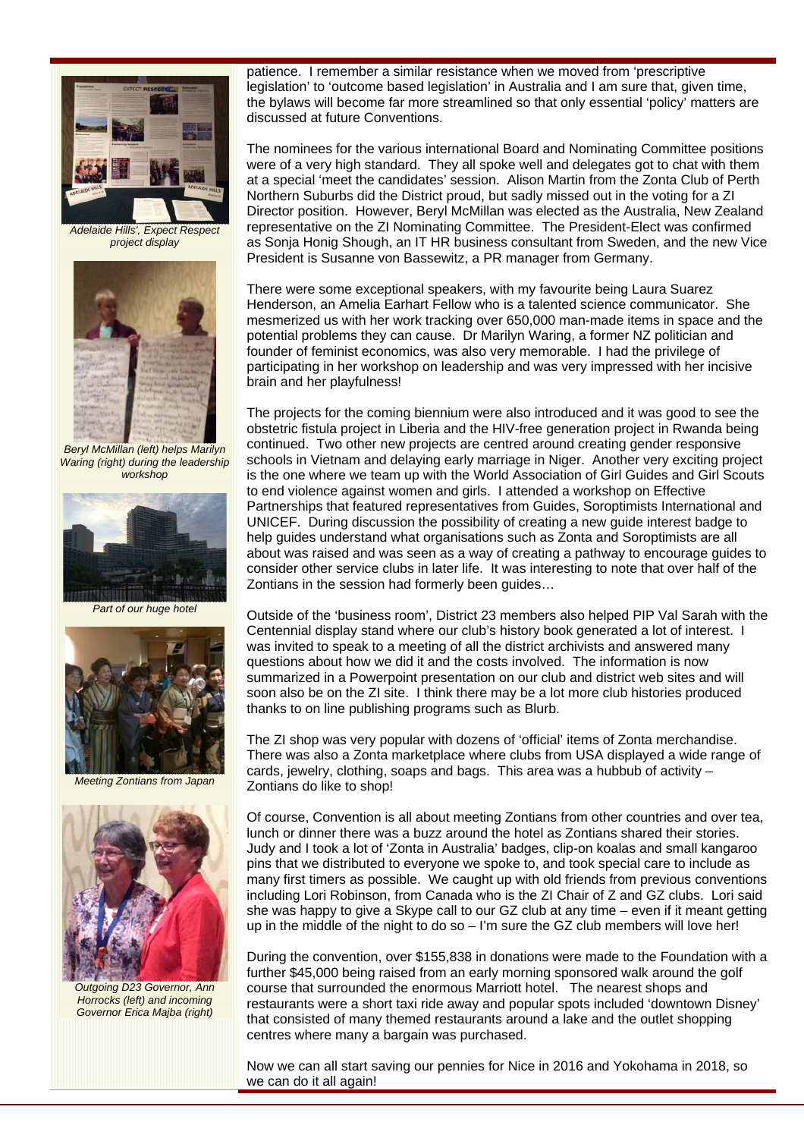

*Adelaide Hills', Expect Respect project display* 



*Beryl McMillan (left) helps Marilyn Waring (right) during the leadership workshop* 



*Part of our huge hotel* 



*Meeting Zontians from Japan* 



*Outgoing D23 Governor, Ann Horrocks (left) and incoming Governor Erica Majba (right)* 

patience. I remember a similar resistance when we moved from 'prescriptive legislation' to 'outcome based legislation' in Australia and I am sure that, given time, the bylaws will become far more streamlined so that only essential 'policy' matters are discussed at future Conventions.

The nominees for the various international Board and Nominating Committee positions were of a very high standard. They all spoke well and delegates got to chat with them at a special 'meet the candidates' session. Alison Martin from the Zonta Club of Perth Northern Suburbs did the District proud, but sadly missed out in the voting for a ZI Director position. However, Beryl McMillan was elected as the Australia, New Zealand representative on the ZI Nominating Committee. The President-Elect was confirmed as Sonja Honig Shough, an IT HR business consultant from Sweden, and the new Vice President is Susanne von Bassewitz, a PR manager from Germany.

There were some exceptional speakers, with my favourite being Laura Suarez Henderson, an Amelia Earhart Fellow who is a talented science communicator. She mesmerized us with her work tracking over 650,000 man-made items in space and the potential problems they can cause. Dr Marilyn Waring, a former NZ politician and founder of feminist economics, was also very memorable. I had the privilege of participating in her workshop on leadership and was very impressed with her incisive brain and her playfulness!

The projects for the coming biennium were also introduced and it was good to see the obstetric fistula project in Liberia and the HIV-free generation project in Rwanda being continued. Two other new projects are centred around creating gender responsive schools in Vietnam and delaying early marriage in Niger. Another very exciting project is the one where we team up with the World Association of Girl Guides and Girl Scouts to end violence against women and girls. I attended a workshop on Effective Partnerships that featured representatives from Guides, Soroptimists International and UNICEF. During discussion the possibility of creating a new guide interest badge to help guides understand what organisations such as Zonta and Soroptimists are all about was raised and was seen as a way of creating a pathway to encourage guides to consider other service clubs in later life. It was interesting to note that over half of the Zontians in the session had formerly been guides…

Outside of the 'business room', District 23 members also helped PIP Val Sarah with the Centennial display stand where our club's history book generated a lot of interest. I was invited to speak to a meeting of all the district archivists and answered many questions about how we did it and the costs involved. The information is now summarized in a Powerpoint presentation on our club and district web sites and will soon also be on the ZI site. I think there may be a lot more club histories produced thanks to on line publishing programs such as Blurb.

The ZI shop was very popular with dozens of 'official' items of Zonta merchandise. There was also a Zonta marketplace where clubs from USA displayed a wide range of cards, jewelry, clothing, soaps and bags. This area was a hubbub of activity – Zontians do like to shop!

Of course, Convention is all about meeting Zontians from other countries and over tea, lunch or dinner there was a buzz around the hotel as Zontians shared their stories. Judy and I took a lot of 'Zonta in Australia' badges, clip-on koalas and small kangaroo pins that we distributed to everyone we spoke to, and took special care to include as many first timers as possible. We caught up with old friends from previous conventions including Lori Robinson, from Canada who is the ZI Chair of Z and GZ clubs. Lori said she was happy to give a Skype call to our GZ club at any time – even if it meant getting up in the middle of the night to do so  $-1$ 'm sure the GZ club members will love her!

During the convention, over \$155,838 in donations were made to the Foundation with a further \$45,000 being raised from an early morning sponsored walk around the golf course that surrounded the enormous Marriott hotel. The nearest shops and restaurants were a short taxi ride away and popular spots included 'downtown Disney' that consisted of many themed restaurants around a lake and the outlet shopping centres where many a bargain was purchased.

Now we can all start saving our pennies for Nice in 2016 and Yokohama in 2018, so we can do it all again!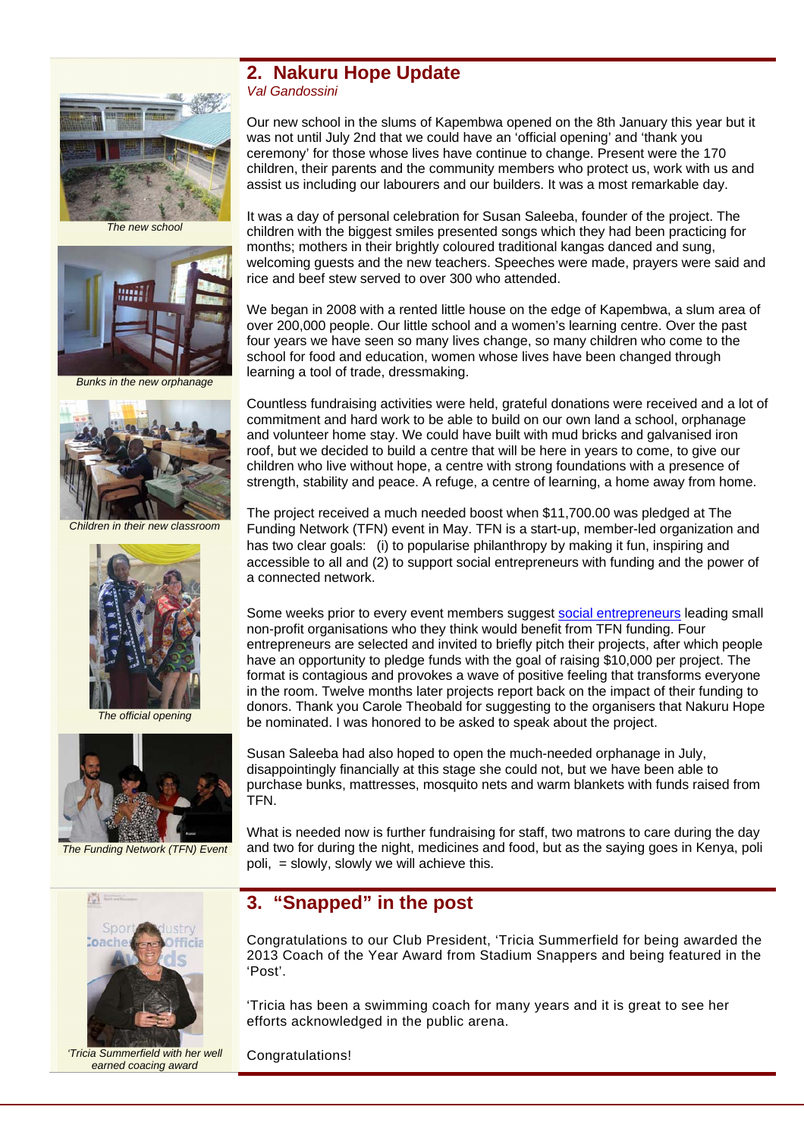

*The new school* 



*Bunks in the new orphanage* 



*Children in their new classroom* 



*The official opening* 



*The Funding Network (TFN) Event* 



*'Tricia Summerfield with her well earned coacing award* 

#### **2. Nakuru Hope Update**  *Val Gandossini*

Our new school in the slums of Kapembwa opened on the 8th January this year but it was not until July 2nd that we could have an 'official opening' and 'thank you ceremony' for those whose lives have continue to change. Present were the 170 children, their parents and the community members who protect us, work with us and assist us including our labourers and our builders. It was a most remarkable day.

It was a day of personal celebration for Susan Saleeba, founder of the project. The children with the biggest smiles presented songs which they had been practicing for months; mothers in their brightly coloured traditional kangas danced and sung. welcoming guests and the new teachers. Speeches were made, prayers were said and rice and beef stew served to over 300 who attended.

We began in 2008 with a rented little house on the edge of Kapembwa, a slum area of over 200,000 people. Our little school and a women's learning centre. Over the past four years we have seen so many lives change, so many children who come to the school for food and education, women whose lives have been changed through learning a tool of trade, dressmaking.

Countless fundraising activities were held, grateful donations were received and a lot of commitment and hard work to be able to build on our own land a school, orphanage and volunteer home stay. We could have built with mud bricks and galvanised iron roof, but we decided to build a centre that will be here in years to come, to give our children who live without hope, a centre with strong foundations with a presence of strength, stability and peace. A refuge, a centre of learning, a home away from home.

The project received a much needed boost when \$11,700.00 was pledged at The Funding Network (TFN) event in May. TFN is a start-up, member-led organization and has two clear goals: (i) to popularise philanthropy by making it fun, inspiring and accessible to all and (2) to support social entrepreneurs with funding and the power of a connected network.

Some weeks prior to every event members suggest social entrepreneurs leading small non-profit organisations who they think would benefit from TFN funding. Four entrepreneurs are selected and invited to briefly pitch their projects, after which people have an opportunity to pledge funds with the goal of raising \$10,000 per project. The format is contagious and provokes a wave of positive feeling that transforms everyone in the room. Twelve months later projects report back on the impact of their funding to donors. Thank you Carole Theobald for suggesting to the organisers that Nakuru Hope be nominated. I was honored to be asked to speak about the project.

Susan Saleeba had also hoped to open the much-needed orphanage in July, disappointingly financially at this stage she could not, but we have been able to purchase bunks, mattresses, mosquito nets and warm blankets with funds raised from TFN.

What is needed now is further fundraising for staff, two matrons to care during the day and two for during the night, medicines and food, but as the saying goes in Kenya, poli poli, = slowly, slowly we will achieve this.

## **3. "Snapped" in the post**

Congratulations to our Club President, 'Tricia Summerfield for being awarded the 2013 Coach of the Year Award from Stadium Snappers and being featured in the 'Post'.

'Tricia has been a swimming coach for many years and it is great to see her efforts acknowledged in the public arena.

Congratulations!